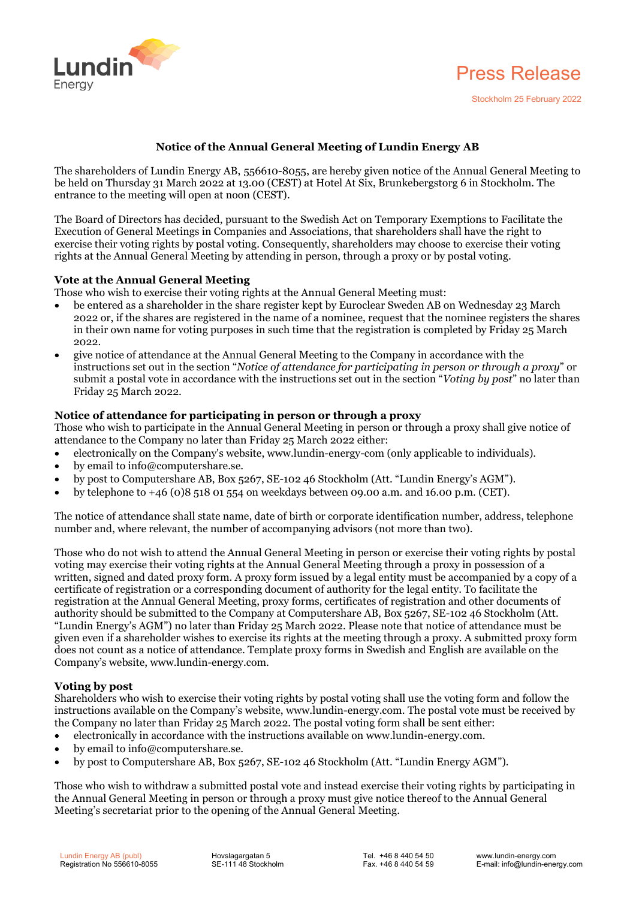



Stockholm 25 February 2022

# **Notice of the Annual General Meeting of Lundin Energy AB**

The shareholders of Lundin Energy AB, 556610-8055, are hereby given notice of the Annual General Meeting to be held on Thursday 31 March 2022 at 13.00 (CEST) at Hotel At Six, Brunkebergstorg 6 in Stockholm. The entrance to the meeting will open at noon (CEST).

The Board of Directors has decided, pursuant to the Swedish Act on Temporary Exemptions to Facilitate the Execution of General Meetings in Companies and Associations, that shareholders shall have the right to exercise their voting rights by postal voting. Consequently, shareholders may choose to exercise their voting rights at the Annual General Meeting by attending in person, through a proxy or by postal voting.

# **Vote at the Annual General Meeting**

Those who wish to exercise their voting rights at the Annual General Meeting must:

- be entered as a shareholder in the share register kept by Euroclear Sweden AB on Wednesday 23 March 2022 or, if the shares are registered in the name of a nominee, request that the nominee registers the shares in their own name for voting purposes in such time that the registration is completed by Friday 25 March 2022.
- give notice of attendance at the Annual General Meeting to the Company in accordance with the instructions set out in the section "*Notice of attendance for participating in person or through a proxy*" or submit a postal vote in accordance with the instructions set out in the section "*Voting by post*" no later than Friday 25 March 2022.

# **Notice of attendance for participating in person or through a proxy**

Those who wish to participate in the Annual General Meeting in person or through a proxy shall give notice of attendance to the Company no later than Friday 25 March 2022 either:

- electronically on the Company's website, www.lundin-energy-com (only applicable to individuals).
- by email to info@computershare.se.
- by post to Computershare AB, Box 5267, SE-102 46 Stockholm (Att. "Lundin Energy's AGM").
- by telephone to  $+46$  (0)8 518 01 554 on weekdays between 09.00 a.m. and 16.00 p.m. (CET).

The notice of attendance shall state name, date of birth or corporate identification number, address, telephone number and, where relevant, the number of accompanying advisors (not more than two).

Those who do not wish to attend the Annual General Meeting in person or exercise their voting rights by postal voting may exercise their voting rights at the Annual General Meeting through a proxy in possession of a written, signed and dated proxy form. A proxy form issued by a legal entity must be accompanied by a copy of a certificate of registration or a corresponding document of authority for the legal entity. To facilitate the registration at the Annual General Meeting, proxy forms, certificates of registration and other documents of authority should be submitted to the Company at Computershare AB, Box 5267, SE-102 46 Stockholm (Att. "Lundin Energy's AGM") no later than Friday 25 March 2022. Please note that notice of attendance must be given even if a shareholder wishes to exercise its rights at the meeting through a proxy. A submitted proxy form does not count as a notice of attendance. Template proxy forms in Swedish and English are available on the Company's website, www.lundin-energy.com.

# **Voting by post**

Shareholders who wish to exercise their voting rights by postal voting shall use the voting form and follow the instructions available on the Company's website, www.lundin-energy.com. The postal vote must be received by the Company no later than Friday 25 March 2022. The postal voting form shall be sent either:

- electronically in accordance with the instructions available on www.lundin-energy.com.
- by email to info@computershare.se.
- by post to Computershare AB, Box 5267, SE-102 46 Stockholm (Att. "Lundin Energy AGM").

Those who wish to withdraw a submitted postal vote and instead exercise their voting rights by participating in the Annual General Meeting in person or through a proxy must give notice thereof to the Annual General Meeting's secretariat prior to the opening of the Annual General Meeting.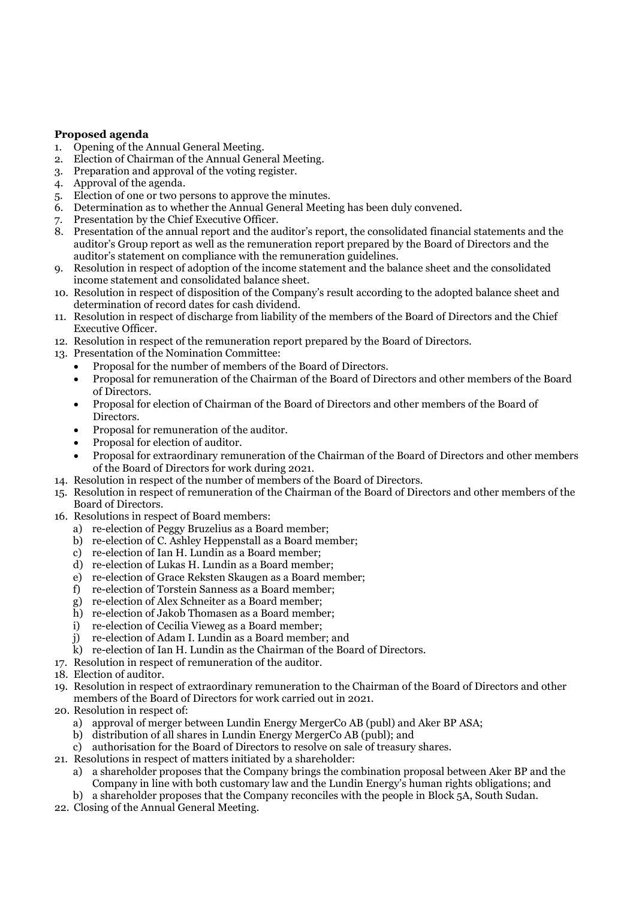# **Proposed agenda**<br>1. Opening of the A

- 1. Opening of the Annual General Meeting.<br>2. Election of Chairman of the Annual Gene
- Election of Chairman of the Annual General Meeting.
- 3. Preparation and approval of the voting register.
- 4. Approval of the agenda.
- 5. Election of one or two persons to approve the minutes.
- 6. Determination as to whether the Annual General Meeting has been duly convened.
- 7. Presentation by the Chief Executive Officer.
- 8. Presentation of the annual report and the auditor's report, the consolidated financial statements and the auditor's Group report as well as the remuneration report prepared by the Board of Directors and the auditor's statement on compliance with the remuneration guidelines.
- 9. Resolution in respect of adoption of the income statement and the balance sheet and the consolidated income statement and consolidated balance sheet.
- 10. Resolution in respect of disposition of the Company's result according to the adopted balance sheet and determination of record dates for cash dividend.
- 11. Resolution in respect of discharge from liability of the members of the Board of Directors and the Chief Executive Officer.
- 12. Resolution in respect of the remuneration report prepared by the Board of Directors.
- 13. Presentation of the Nomination Committee:
	- Proposal for the number of members of the Board of Directors.
		- Proposal for remuneration of the Chairman of the Board of Directors and other members of the Board of Directors.
	- Proposal for election of Chairman of the Board of Directors and other members of the Board of Directors.
	- Proposal for remuneration of the auditor.
	- Proposal for election of auditor.
	- Proposal for extraordinary remuneration of the Chairman of the Board of Directors and other members of the Board of Directors for work during 2021.
- 14. Resolution in respect of the number of members of the Board of Directors.
- 15. Resolution in respect of remuneration of the Chairman of the Board of Directors and other members of the Board of Directors.
- 16. Resolutions in respect of Board members:
	- a) re-election of Peggy Bruzelius as a Board member;
	- b) re-election of C. Ashley Heppenstall as a Board member;
	- c) re-election of Ian H. Lundin as a Board member;
	- d) re-election of Lukas H. Lundin as a Board member;
	- e) re-election of Grace Reksten Skaugen as a Board member;
	- f) re-election of Torstein Sanness as a Board member;
	- g) re-election of Alex Schneiter as a Board member;
	- h) re-election of Jakob Thomasen as a Board member;
	- i) re-election of Cecilia Vieweg as a Board member;
	- j) re-election of Adam I. Lundin as a Board member; and
	- k) re-election of Ian H. Lundin as the Chairman of the Board of Directors.
- 17. Resolution in respect of remuneration of the auditor.
- 18. Election of auditor.
- 19. Resolution in respect of extraordinary remuneration to the Chairman of the Board of Directors and other members of the Board of Directors for work carried out in 2021.
- 20. Resolution in respect of:
	- a) approval of merger between Lundin Energy MergerCo AB (publ) and Aker BP ASA;
	- b) distribution of all shares in Lundin Energy MergerCo AB (publ); and
	- c) authorisation for the Board of Directors to resolve on sale of treasury shares.
- 21. Resolutions in respect of matters initiated by a shareholder:
	- a) a shareholder proposes that the Company brings the combination proposal between Aker BP and the Company in line with both customary law and the Lundin Energy's human rights obligations; and
	- b) a shareholder proposes that the Company reconciles with the people in Block 5A, South Sudan.
- 22. Closing of the Annual General Meeting.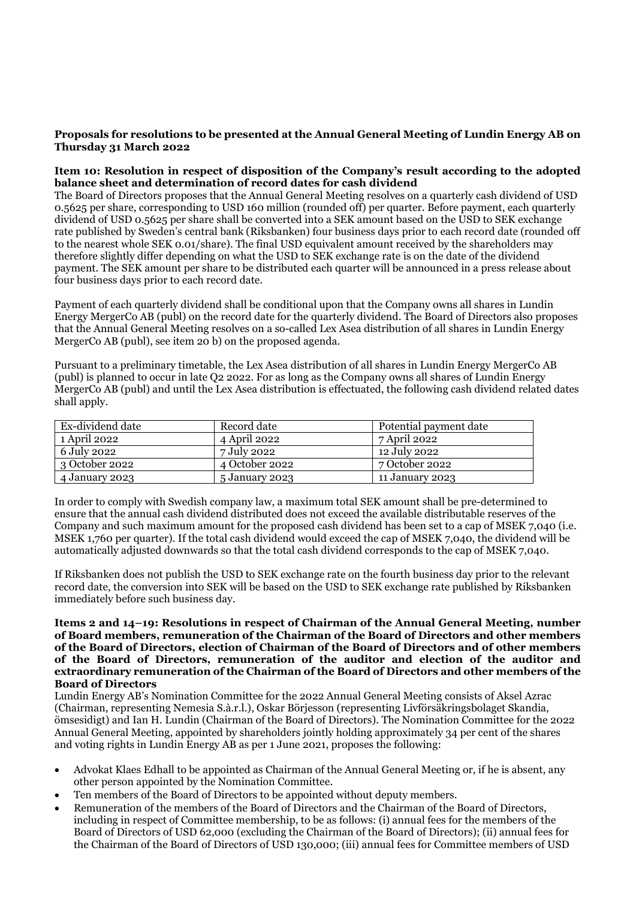## **Proposals for resolutions to be presented at the Annual General Meeting of Lundin Energy AB on Thursday 31 March 2022**

## **Item 10: Resolution in respect of disposition of the Company's result according to the adopted balance sheet and determination of record dates for cash dividend**

The Board of Directors proposes that the Annual General Meeting resolves on a quarterly cash dividend of USD 0.5625 per share, corresponding to USD 160 million (rounded off) per quarter. Before payment, each quarterly dividend of USD 0.5625 per share shall be converted into a SEK amount based on the USD to SEK exchange rate published by Sweden's central bank (Riksbanken) four business days prior to each record date (rounded off to the nearest whole SEK 0.01/share). The final USD equivalent amount received by the shareholders may therefore slightly differ depending on what the USD to SEK exchange rate is on the date of the dividend payment. The SEK amount per share to be distributed each quarter will be announced in a press release about four business days prior to each record date.

Payment of each quarterly dividend shall be conditional upon that the Company owns all shares in Lundin Energy MergerCo AB (publ) on the record date for the quarterly dividend. The Board of Directors also proposes that the Annual General Meeting resolves on a so-called Lex Asea distribution of all shares in Lundin Energy MergerCo AB (publ), see item 20 b) on the proposed agenda.

Pursuant to a preliminary timetable, the Lex Asea distribution of all shares in Lundin Energy MergerCo AB (publ) is planned to occur in late Q2 2022. For as long as the Company owns all shares of Lundin Energy MergerCo AB (publ) and until the Lex Asea distribution is effectuated, the following cash dividend related dates shall apply.

| Ex-dividend date       | Record date    | Potential payment date |
|------------------------|----------------|------------------------|
| 1 April 2022           | 4 April 2022   | 7 April 2022           |
| 6 July 2022            | 7 July 2022    | 12 July 2022           |
| $\vert$ 3 October 2022 | 4 October 2022 | 7 October 2022         |
| 4 January 2023         | 5 January 2023 | 11 January 2023        |

In order to comply with Swedish company law, a maximum total SEK amount shall be pre-determined to ensure that the annual cash dividend distributed does not exceed the available distributable reserves of the Company and such maximum amount for the proposed cash dividend has been set to a cap of MSEK 7,040 (i.e. MSEK 1,760 per quarter). If the total cash dividend would exceed the cap of MSEK 7,040, the dividend will be automatically adjusted downwards so that the total cash dividend corresponds to the cap of MSEK 7,040.

If Riksbanken does not publish the USD to SEK exchange rate on the fourth business day prior to the relevant record date, the conversion into SEK will be based on the USD to SEK exchange rate published by Riksbanken immediately before such business day.

#### **Items 2 and 14–19: Resolutions in respect of Chairman of the Annual General Meeting, number of Board members, remuneration of the Chairman of the Board of Directors and other members of the Board of Directors, election of Chairman of the Board of Directors and of other members of the Board of Directors, remuneration of the auditor and election of the auditor and extraordinary remuneration of the Chairman of the Board of Directors and other members of the Board of Directors**

Lundin Energy AB's Nomination Committee for the 2022 Annual General Meeting consists of Aksel Azrac (Chairman, representing Nemesia S.à.r.l.), Oskar Börjesson (representing Livförsäkringsbolaget Skandia, ömsesidigt) and Ian H. Lundin (Chairman of the Board of Directors). The Nomination Committee for the 2022 Annual General Meeting, appointed by shareholders jointly holding approximately 34 per cent of the shares and voting rights in Lundin Energy AB as per 1 June 2021, proposes the following:

- Advokat Klaes Edhall to be appointed as Chairman of the Annual General Meeting or, if he is absent, any other person appointed by the Nomination Committee.
- Ten members of the Board of Directors to be appointed without deputy members.
- Remuneration of the members of the Board of Directors and the Chairman of the Board of Directors, including in respect of Committee membership, to be as follows: (i) annual fees for the members of the Board of Directors of USD 62,000 (excluding the Chairman of the Board of Directors); (ii) annual fees for the Chairman of the Board of Directors of USD 130,000; (iii) annual fees for Committee members of USD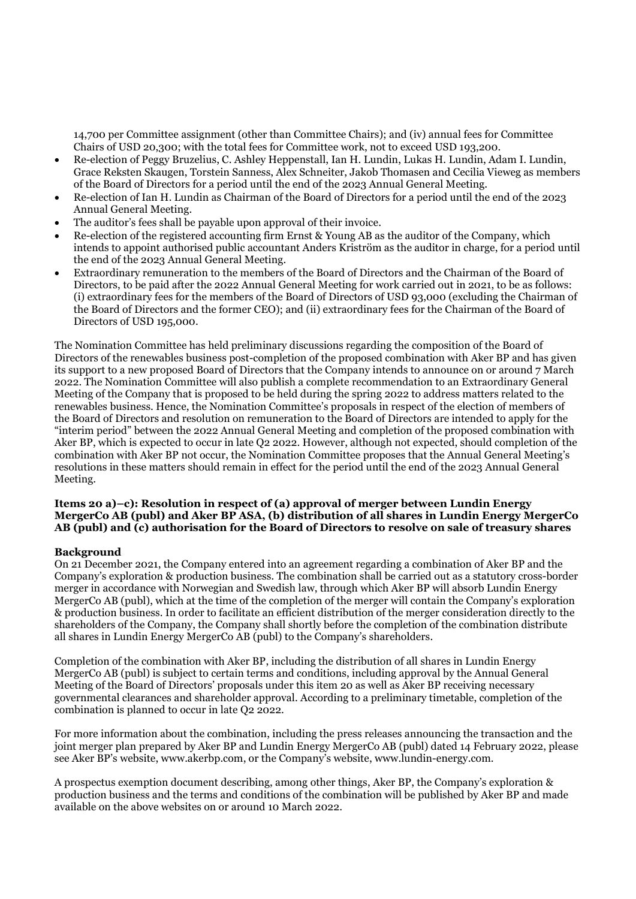14,700 per Committee assignment (other than Committee Chairs); and (iv) annual fees for Committee Chairs of USD 20,300; with the total fees for Committee work, not to exceed USD 193,200.

- Re-election of Peggy Bruzelius, C. Ashley Heppenstall, Ian H. Lundin, Lukas H. Lundin, Adam I. Lundin, Grace Reksten Skaugen, Torstein Sanness, Alex Schneiter, Jakob Thomasen and Cecilia Vieweg as members of the Board of Directors for a period until the end of the 2023 Annual General Meeting.
- Re-election of Ian H. Lundin as Chairman of the Board of Directors for a period until the end of the 2023 Annual General Meeting.
- The auditor's fees shall be payable upon approval of their invoice.
- Re-election of the registered accounting firm Ernst & Young AB as the auditor of the Company, which intends to appoint authorised public accountant Anders Kriström as the auditor in charge, for a period until the end of the 2023 Annual General Meeting.
- Extraordinary remuneration to the members of the Board of Directors and the Chairman of the Board of Directors, to be paid after the 2022 Annual General Meeting for work carried out in 2021, to be as follows: (i) extraordinary fees for the members of the Board of Directors of USD 93,000 (excluding the Chairman of the Board of Directors and the former CEO); and (ii) extraordinary fees for the Chairman of the Board of Directors of USD 195,000.

The Nomination Committee has held preliminary discussions regarding the composition of the Board of Directors of the renewables business post-completion of the proposed combination with Aker BP and has given its support to a new proposed Board of Directors that the Company intends to announce on or around 7 March 2022. The Nomination Committee will also publish a complete recommendation to an Extraordinary General Meeting of the Company that is proposed to be held during the spring 2022 to address matters related to the renewables business. Hence, the Nomination Committee's proposals in respect of the election of members of the Board of Directors and resolution on remuneration to the Board of Directors are intended to apply for the "interim period" between the 2022 Annual General Meeting and completion of the proposed combination with Aker BP, which is expected to occur in late Q2 2022. However, although not expected, should completion of the combination with Aker BP not occur, the Nomination Committee proposes that the Annual General Meeting's resolutions in these matters should remain in effect for the period until the end of the 2023 Annual General Meeting.

#### **Items 20 a)–c): Resolution in respect of (a) approval of merger between Lundin Energy MergerCo AB (publ) and Aker BP ASA, (b) distribution of all shares in Lundin Energy MergerCo AB (publ) and (c) authorisation for the Board of Directors to resolve on sale of treasury shares**

#### **Background**

On 21 December 2021, the Company entered into an agreement regarding a combination of Aker BP and the Company's exploration & production business. The combination shall be carried out as a statutory cross-border merger in accordance with Norwegian and Swedish law, through which Aker BP will absorb Lundin Energy MergerCo AB (publ), which at the time of the completion of the merger will contain the Company's exploration & production business. In order to facilitate an efficient distribution of the merger consideration directly to the shareholders of the Company, the Company shall shortly before the completion of the combination distribute all shares in Lundin Energy MergerCo AB (publ) to the Company's shareholders.

Completion of the combination with Aker BP, including the distribution of all shares in Lundin Energy MergerCo AB (publ) is subject to certain terms and conditions, including approval by the Annual General Meeting of the Board of Directors' proposals under this item 20 as well as Aker BP receiving necessary governmental clearances and shareholder approval. According to a preliminary timetable, completion of the combination is planned to occur in late Q2 2022.

For more information about the combination, including the press releases announcing the transaction and the joint merger plan prepared by Aker BP and Lundin Energy MergerCo AB (publ) dated 14 February 2022, please see Aker BP's website, www.akerbp.com, or the Company's website, www.lundin-energy.com.

A prospectus exemption document describing, among other things, Aker BP, the Company's exploration & production business and the terms and conditions of the combination will be published by Aker BP and made available on the above websites on or around 10 March 2022.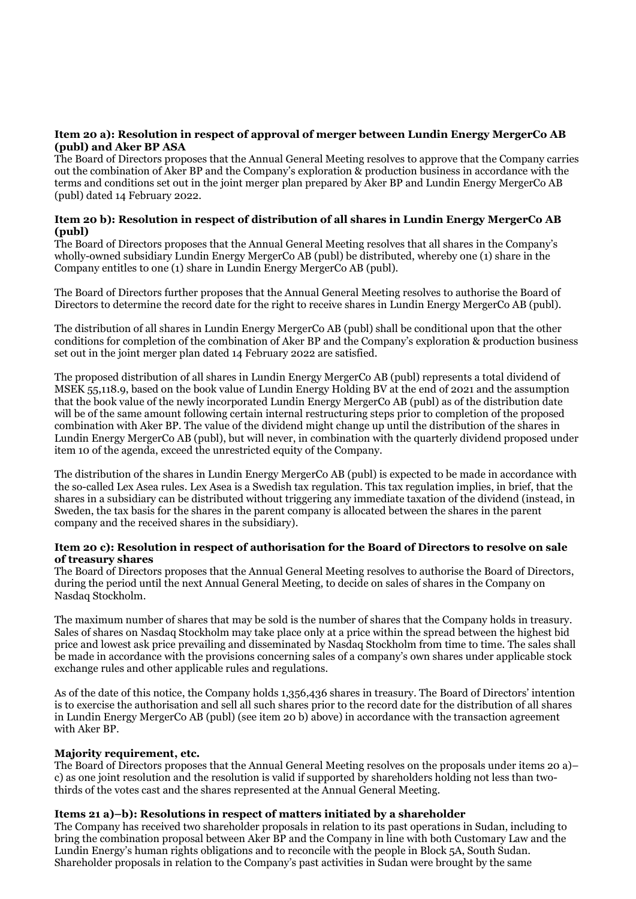## **Item 20 a): Resolution in respect of approval of merger between Lundin Energy MergerCo AB (publ) and Aker BP ASA**

The Board of Directors proposes that the Annual General Meeting resolves to approve that the Company carries out the combination of Aker BP and the Company's exploration & production business in accordance with the terms and conditions set out in the joint merger plan prepared by Aker BP and Lundin Energy MergerCo AB (publ) dated 14 February 2022.

## **Item 20 b): Resolution in respect of distribution of all shares in Lundin Energy MergerCo AB (publ)**

The Board of Directors proposes that the Annual General Meeting resolves that all shares in the Company's wholly-owned subsidiary Lundin Energy MergerCo AB (publ) be distributed, whereby one (1) share in the Company entitles to one (1) share in Lundin Energy MergerCo AB (publ).

The Board of Directors further proposes that the Annual General Meeting resolves to authorise the Board of Directors to determine the record date for the right to receive shares in Lundin Energy MergerCo AB (publ).

The distribution of all shares in Lundin Energy MergerCo AB (publ) shall be conditional upon that the other conditions for completion of the combination of Aker BP and the Company's exploration & production business set out in the joint merger plan dated 14 February 2022 are satisfied.

The proposed distribution of all shares in Lundin Energy MergerCo AB (publ) represents a total dividend of MSEK 55,118.9, based on the book value of Lundin Energy Holding BV at the end of 2021 and the assumption that the book value of the newly incorporated Lundin Energy MergerCo AB (publ) as of the distribution date will be of the same amount following certain internal restructuring steps prior to completion of the proposed combination with Aker BP. The value of the dividend might change up until the distribution of the shares in Lundin Energy MergerCo AB (publ), but will never, in combination with the quarterly dividend proposed under item 10 of the agenda, exceed the unrestricted equity of the Company.

The distribution of the shares in Lundin Energy MergerCo AB (publ) is expected to be made in accordance with the so-called Lex Asea rules. Lex Asea is a Swedish tax regulation. This tax regulation implies, in brief, that the shares in a subsidiary can be distributed without triggering any immediate taxation of the dividend (instead, in Sweden, the tax basis for the shares in the parent company is allocated between the shares in the parent company and the received shares in the subsidiary).

## **Item 20 c): Resolution in respect of authorisation for the Board of Directors to resolve on sale of treasury shares**

The Board of Directors proposes that the Annual General Meeting resolves to authorise the Board of Directors, during the period until the next Annual General Meeting, to decide on sales of shares in the Company on Nasdaq Stockholm.

The maximum number of shares that may be sold is the number of shares that the Company holds in treasury. Sales of shares on Nasdaq Stockholm may take place only at a price within the spread between the highest bid price and lowest ask price prevailing and disseminated by Nasdaq Stockholm from time to time. The sales shall be made in accordance with the provisions concerning sales of a company's own shares under applicable stock exchange rules and other applicable rules and regulations.

As of the date of this notice, the Company holds 1,356,436 shares in treasury. The Board of Directors' intention is to exercise the authorisation and sell all such shares prior to the record date for the distribution of all shares in Lundin Energy MergerCo AB (publ) (see item 20 b) above) in accordance with the transaction agreement with Aker BP.

# **Majority requirement, etc.**

The Board of Directors proposes that the Annual General Meeting resolves on the proposals under items 20 a)– c) as one joint resolution and the resolution is valid if supported by shareholders holding not less than twothirds of the votes cast and the shares represented at the Annual General Meeting.

# **Items 21 a)–b): Resolutions in respect of matters initiated by a shareholder**

The Company has received two shareholder proposals in relation to its past operations in Sudan, including to bring the combination proposal between Aker BP and the Company in line with both Customary Law and the Lundin Energy's human rights obligations and to reconcile with the people in Block 5A, South Sudan. Shareholder proposals in relation to the Company's past activities in Sudan were brought by the same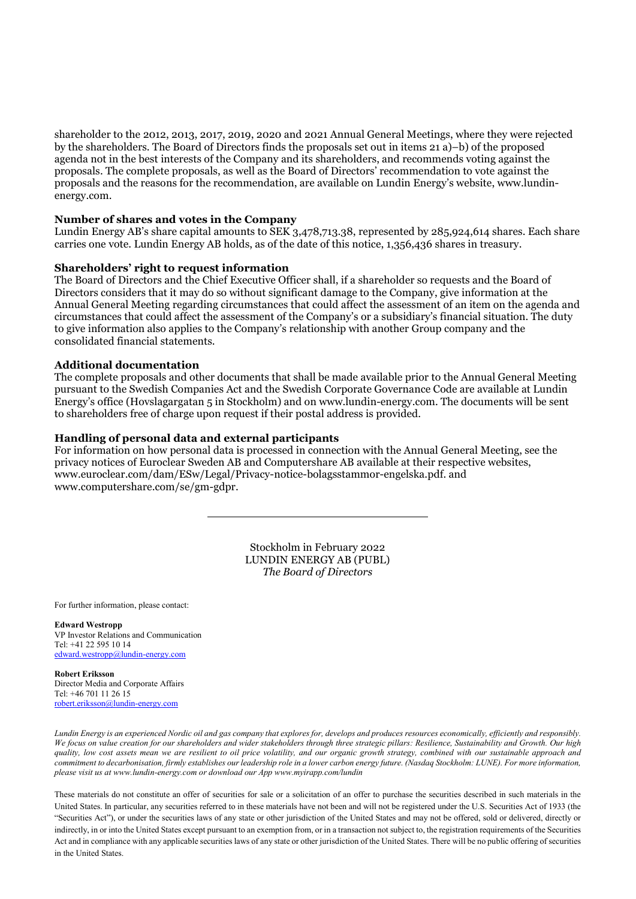shareholder to the 2012, 2013, 2017, 2019, 2020 and 2021 Annual General Meetings, where they were rejected by the shareholders. The Board of Directors finds the proposals set out in items 21 a)–b) of the proposed agenda not in the best interests of the Company and its shareholders, and recommends voting against the proposals. The complete proposals, as well as the Board of Directors' recommendation to vote against the proposals and the reasons for the recommendation, are available on Lundin Energy's website, www.lundinenergy.com.

#### **Number of shares and votes in the Company**

Lundin Energy AB's share capital amounts to SEK 3,478,713.38, represented by 285,924,614 shares. Each share carries one vote. Lundin Energy AB holds, as of the date of this notice, 1,356,436 shares in treasury.

#### **Shareholders' right to request information**

The Board of Directors and the Chief Executive Officer shall, if a shareholder so requests and the Board of Directors considers that it may do so without significant damage to the Company, give information at the Annual General Meeting regarding circumstances that could affect the assessment of an item on the agenda and circumstances that could affect the assessment of the Company's or a subsidiary's financial situation. The duty to give information also applies to the Company's relationship with another Group company and the consolidated financial statements.

#### **Additional documentation**

The complete proposals and other documents that shall be made available prior to the Annual General Meeting pursuant to the Swedish Companies Act and the Swedish Corporate Governance Code are available at Lundin Energy's office (Hovslagargatan 5 in Stockholm) and on www.lundin-energy.com. The documents will be sent to shareholders free of charge upon request if their postal address is provided.

## **Handling of personal data and external participants**

For information on how personal data is processed in connection with the Annual General Meeting, see the privacy notices of Euroclear Sweden AB and Computershare AB available at their respective websites, www.euroclear.com/dam/ESw/Legal/Privacy-notice-bolagsstammor-engelska.pdf. and www.computershare.com/se/gm-gdpr.

> Stockholm in February 2022 LUNDIN ENERGY AB (PUBL) *The Board of Directors*

For further information, please contact:

**Edward Westropp** VP Investor Relations and Communication Tel: +41 22 595 10 14 [edward.westropp@lundin-energy.com](mailto:edward.westropp@lundin-energy.com)

#### **Robert Eriksson**

Director Media and Corporate Affairs Tel: +46 701 11 26 15 [robert.eriksson@lundin-energy.com](mailto:robert.eriksson@lundin-energy.com)

*Lundin Energy is an experienced Nordic oil and gas company that explores for, develops and produces resources economically, efficiently and responsibly. We focus on value creation for our shareholders and wider stakeholders through three strategic pillars: Resilience, Sustainability and Growth. Our high quality, low cost assets mean we are resilient to oil price volatility, and our organic growth strategy, combined with our sustainable approach and commitment to decarbonisation, firmly establishes our leadership role in a lower carbon energy future. (Nasdaq Stockholm: LUNE). For more information, please visit us at www.lundin-energy.com or download our App www.myirapp.com/lundin*

These materials do not constitute an offer of securities for sale or a solicitation of an offer to purchase the securities described in such materials in the United States. In particular, any securities referred to in these materials have not been and will not be registered under the U.S. Securities Act of 1933 (the "Securities Act"), or under the securities laws of any state or other jurisdiction of the United States and may not be offered, sold or delivered, directly or indirectly, in or into the United States except pursuant to an exemption from, or in a transaction not subject to, the registration requirements of the Securities Act and in compliance with any applicable securities laws of any state or other jurisdiction of the United States. There will be no public offering of securities in the United States.